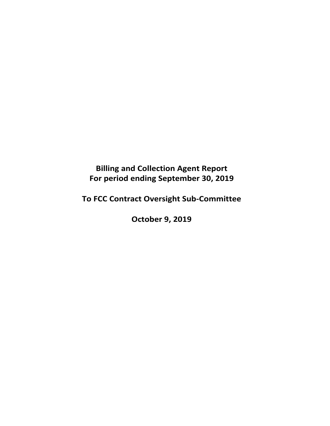**Billing and Collection Agent Report For period ending September 30, 2019** 

**To FCC Contract Oversight Sub‐Committee** 

**October 9, 2019**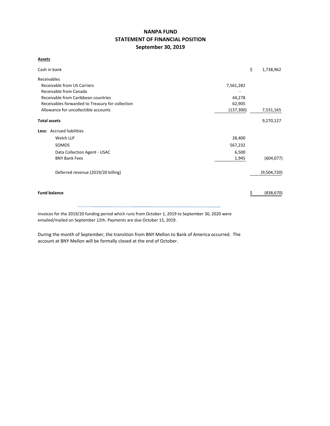# **NANPA FUND STATEMENT OF FINANCIAL POSITION September 30, 2019**

**Assets**

| Cash in bank                                     |            | \$<br>1,738,962 |
|--------------------------------------------------|------------|-----------------|
| Receivables                                      |            |                 |
| Receivable from US Carriers                      | 7,561,282  |                 |
| Receivable from Canada                           |            |                 |
| Receivable from Caribbean countries              | 44,278     |                 |
| Receivables forwarded to Treasury for collection | 62,905     |                 |
| Allowance for uncollectible accounts             | (137, 300) | 7,531,165       |
| <b>Total assets</b>                              |            | 9,270,127       |
| Less: Accrued liabilities                        |            |                 |
| Welch LLP                                        | 28,400     |                 |
| SOMOS                                            | 567,232    |                 |
| Data Collection Agent - USAC                     | 6,500      |                 |
| <b>BNY Bank Fees</b>                             | 1,945      | (604, 077)      |
| Deferred revenue (2019/20 billing)               |            | (9,504,720)     |
| <b>Fund balance</b>                              |            | (838, 670)      |

Invoices for the 2019/20 funding period which runs from October 1, 2019 to September 30, 2020 were emailed/mailed on September 12th. Payments are due October 15, 2019.

During the month of September, the transition from BNY Mellon to Bank of America occurred. The account at BNY Mellon will be formally closed at the end of October.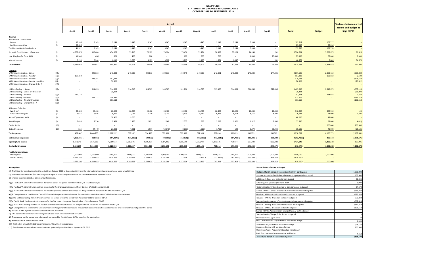## **NANP FUND STATEMENT OF CHANGES IN FUND BALANCE OCTOBER 2018 TO SEPTEMBER 2019**

|                                           |        |           |               |               |           |            | Actual     |           |           |           |            |                          |            |                         |               | Variance between actual |
|-------------------------------------------|--------|-----------|---------------|---------------|-----------|------------|------------|-----------|-----------|-----------|------------|--------------------------|------------|-------------------------|---------------|-------------------------|
|                                           |        |           |               |               |           |            |            |           |           |           |            |                          |            |                         |               | results and budget at   |
|                                           |        | Oct-18    | <b>Nov-18</b> | <b>Dec-18</b> | Jan-19    | Feb-19     | Mar-19     | Apr-19    | May-19    | Jun-19    | Jul-19     | <b>Aug-19</b>            | $Sep-19$   | <b>Total</b>            | <b>Budget</b> | Sept 30/19              |
| Revenue                                   |        |           |               |               |           |            |            |           |           |           |            |                          |            |                         |               |                         |
| <b>International Contributions</b>        |        |           |               |               |           |            |            |           |           |           |            |                          |            |                         |               |                         |
| Canada                                    | (1)    | 18,286    | 9,143         | 9,143         | 9,143     | 9,143      | 9,143      | 9,143     | 9,143     | 9,143     | 9,143      | 9,144                    |            | 109,717                 | 109,717       |                         |
| Caribbean countries                       | (1)    | 23.036    | $\sim$        | $\sim$        | $\sim$    |            |            |           | $\sim$    | $\sim$    |            |                          |            | 23,036                  | 23,036        |                         |
| <b>Total International Contributions</b>  |        | 41,322    | 9,143         | 9,143         | 9,143     | 9,143      | 9,143      | 9,143     | 9,143     | 9,143     | 9,143      | 9,144                    | $\sim$     | 132,753                 | 132,753       |                         |
| Domestic Contributions - US carriers      | (1)    | 4,538,876 | 115,084       | 474,065       | 73,710    | 76,122     | 73,604     | 73,436    | 72,174    | 78,385    | 77,128     | 74,148                   | (31)       | 5,726,701               | 5,639,875     | 86,826                  |
| Late filing fees for Form 499A            | (2)    | (1,300)   | (400)         | 600           | 400       | 200        | $\sim$     | 100       | 900       | 700       |            | 1,300                    | 73,400     | 75,900                  | 66,000        | 9,900                   |
| Interest income                           | (3)    | 6,155     | 5,244         | 6,112         | 5,355     | 4,129      | 3,902      | 3,267     | 2,490     | 1,851     | 1,047      | 446                      | 581        | 40,579                  | 6,000         | 34,579                  |
| <b>Total revenue</b>                      |        | 4,585,053 | 129,071       | 489,920       | 88,608    | 89,594     | 86,649     | 85,946    | 84,707    | 90,079    | 87,318     | 85,038                   | 73,950     | 5,975,933               | 5,844,628     | 131,305                 |
| <b>Expenses</b>                           |        |           |               |               |           |            |            |           |           |           |            |                          |            |                         |               |                         |
| NANPA Administration - Somos              | (4)(a) | $\sim$    | 240,833       | 240,833       | 240,833   | 240,833    | 240,833    | 243,545   | 240,833   | 242,991   | 240,833    | 240,833                  | 244,336    | 2,657,536               | 2,088,152     | (569, 384)              |
| NANPA Administration - Neustar            | (4)(b) | 187,332   |               |               |           |            |            |           |           |           |            |                          |            | 187,332                 | 189,832       | 2,500                   |
| NANPA Administration - Neustar            | (4)(b) |           | 188,201       | 187,332       |           |            |            |           |           |           |            |                          |            | 375,533                 |               | (375, 533)              |
| NANPA Administration - Neustar transition | (4)(c) | $\sim$    | $\sim$        | 70,822        |           |            |            |           |           |           |            |                          |            | 70,822                  |               | (70, 822)               |
| NANPA Administration - Change Order A     | (4)(d) |           |               |               |           |            |            |           |           |           |            |                          |            | $\sim$                  |               |                         |
| 1K Block Pooling - Somos                  | (5)(a) | $\sim$    | 314,855       | 314,585       | 314,315   | 314,585    | 314,585    | 321,266   | 314,585   | 325,156   | 314,585    | 314,585                  | 322,896    | 3,485,998               | 2,848,879     | (637, 119)              |
| 1K Block Pooling - Somos pre-transition   |        |           |               | 25,294        |           |            |            |           |           |           |            |                          |            | 25,294                  |               | (25, 294)               |
| 1K Block Pooling - Neustar                | (5)(b) | 257,128   |               |               |           |            |            |           |           |           |            |                          |            | 257,128                 | 258,988       | 1,860                   |
| 1K Block Pooling - Neustar                | (5)(b) |           | 258,777       | 254,442       |           |            |            |           |           |           |            |                          |            | 513,219                 |               | (513, 219)              |
| 1K Block Pooling - Neustar transition     | (5)(c) |           |               | 101,518       |           |            |            |           |           |           |            |                          |            | 101,518                 |               | (101, 518)              |
| 1K Block Pooling - Change Order A         | (5)(d) |           |               |               |           |            |            |           |           |           |            |                          |            | $\sim$                  |               |                         |
| <b>Billing and Collection</b>             |        |           |               |               |           |            |            |           |           |           |            |                          |            |                         |               |                         |
| Welch LLP                                 | (6)    | 28,400    | 28,400        | 28,400        | 28,400    | 28,400     | 28,400     | 28,400    | 28,400    | 28,400    | 28,400     | 28,400                   | 28,400     | 340,800                 | 340,920       | 120                     |
| <b>Data Collection Agent</b>              | (7)    | 6,637     | 6,586         | 6,465         | 7,062     | 6,210      | 6,210      | 6,403     | 6,262     | 6,296     | 6,209      | 6,155                    | 6,202      | 76,697                  | 78,000        | 1,303                   |
| <b>Annual Operations Audit</b>            | (8)    | $\sim$    | $\sim$        | 38,400        | 9,600     | $\sim$     | $\sim$     | $\sim$    | $\sim$    | $\sim$    | $\sim$     |                          | $\sim$     | 48,000                  | 48,000        |                         |
| <b>Bank Charges</b>                       | (9)    | 3,835     | 7,530         | 2,478         | 2,456     | 2,821      | 2,148      | 2,555     | 1,938     | 2,035     | 1,862      | 1,927                    | 2,005      | 33,590                  | 38,000        | 4,410                   |
| <b>Carrier Audits</b>                     | (10)   | $\sim$    | $\sim$        | $\sim$        | $\sim$    | $\sim$     | $\sim$     | $\sim$    | $\sim$    | $\sim$    | $\sim$     | $\overline{\phantom{a}}$ | $\sim$     | $\sim$                  | 200,000       | 200,000                 |
| Bad debt expense                          | (11)   | (525)     | (4, 449)      | 23,388        | 7,281     | 1,577      | (12, 646)  | (2,603)   | (4,512)   | (1,788)   | 140        | 3,379                    | 55,943     | 65,185                  | 40,000        | (25, 185)               |
| <b>Total expenses</b>                     |        | 482,807   | 1,040,733     | 1,293,957     | 609,947   | 594,426    | 579,530    | 599,566   | 587,506   | 603,090   | 592,029    | 595,279                  | 659,782    | 8,238,652               | 6,130,771     | (2, 107, 881)           |
| Net revenue (expenses)                    |        | 4,102,246 | 911,662)      | 804,037) (    | 521,339)  | 504,832) ( | 492,881) ( | 513,620)  | 502,799)  | 513,011)  | 504,711) ( | 510,241) (               | 585,832)   | $2,262,719$ (           | 286,143)      | (1,976,576)             |
| Opening fund balance                      |        | 1,424,049 | 5,526,295     | 4,614,633     | 3,810,596 | 3,289,257  | 2,784,425  | 2,291,544 | 1,777,924 | 1,275,125 | 762,114    | 257,403                  | (252, 838) | 1,424,049               | 1,286,143     | 137,906                 |
| <b>Closing fund balance</b>               |        | 5,526,295 | 4,614,633     | 3,810,596     | 3,289,257 | 2,784,425  | 2,291,544  | 1,777,924 | 1,275,125 | 762,114   | 257,403    | (252, 838)               | (838, 670) | (838, 670)              | 1,000,000     | (1,838,670)             |
|                                           |        |           |               |               |           |            |            |           |           |           |            |                          |            |                         |               |                         |
| Fund balance makeup:                      |        | 1,000,000 | 1,000,000     | 1,000,000     | 1,000,000 | 1,000,000  | 1,000,000  | 1,000,000 | 1,000,000 | 1,000,000 | 1,000,000  | 1,000,000                | 1,000,000  |                         | 1,000,000     |                         |
| Contingency<br>Surplus (deficit)          |        | 4,526,295 | 3,614,633     | 2,810,596     | 2,289,257 | 1,784,425  | 1,291,544  | 777,924   | 275,125   | 237,886)  | 742,597)   | 1,252,838)               | 1,838,670) | 1,000,000<br>1,838,670) |               |                         |
|                                           |        |           |               |               |           |            |            |           |           |           |            |                          |            |                         |               |                         |
|                                           |        | 5,526,295 | 4,614,633     | 3.810.596     | 3,289,257 | 2,784,425  | 2,291,544  | 1,777,924 | 1,275,125 | 762,114   | 257,403 (  | 252,838)                 | 838,670)   | 838.670)                | 1,000,000     |                         |

**(1)** The US carrier contributions for the period from October 2018 to September 2019 and the International contributions are based upon actual billings.

#### **Assumptions: Reconciliation of actual to budget**

| (1) The US carrier contributions for the period from October 2018 to September 2019 and the International contributions are based upon actual billings.                  | Budgeted fund balance at September 30, 2019 - contingency         | 1,000,000  |
|--------------------------------------------------------------------------------------------------------------------------------------------------------------------------|-------------------------------------------------------------------|------------|
| (2) These fees represent the \$100 late filing fee charged to those companies that do not file the Form 499A by the due date.                                            | Increase in opening fund balance between budget period and actual | 137,906    |
| (3) Interest income is based on actual amounts received.                                                                                                                 | Additional billings over estimate from budget                     | 86,826     |
| (4)(a) The NANPA Administration contract for Somos covers the period from November 1/18 to October 31/19                                                                 | Late filing fees (reversal) for Form 499A                         | 9,900      |
| (4)(b) The NANPA Administration contract extension for NeuStar covers the period from October 1/18 to December 31/18                                                     | Underestimate of interest earned to date compared to budget       | 34,579     |
| (4)(c) The NANPA Administration contract for NeuStar provides for transitional costs for the period from November 1/18 to December 31/18                                 | Somos - NANPA - excess of contract awarded over amount budgeted   | (569,384   |
| (4)(d) Change Order to combine the Central Office Code Assignment Guidelines and Thousands-Block Administration Guidelines into one document.                            | NeuStar - NANPA - transitional month costs not budgeted           | (373,033)  |
| (5)(a)The 1K Block Pooling Administration contract for Somos covers the period from November 1/18 to October 31/19                                                       | NeuStar - NANPA - transition costs not budgeted                   | (70, 822)  |
| (5)(b) The 1K Block Pooling contract extension for NeuStar covers the period from October 1/18 to December 31/18                                                         | Somos - Pooling - excess of contract awarded over amount budgeted | (662, 413) |
| (5)(c) The 1K Block Pooling contract for NeuStar provides for transitional costs for the period from November 1/18 to December 31/18                                     | NeuStar - Pooling - transitional month costs not budgeted         | (511, 359) |
| (5)(d) Change Order to combine the Central Office Code Assignment Guidelines and Thousands-Block Administration Guidelines into one document was not paid in this period | NeuStar - NANPA - transition costs not budgeted                   | (101, 518) |
| (6) The cost of B&C Agent is based on the contract with Welch LLP                                                                                                        | Somos - NANPA Administration Change Order A - not budgeted        |            |
| (7) The expense for the Data Collection Agent is based on an allocation of costs by USAC.                                                                                | Somos - Pooling Change Order A - not budgeted                     |            |
| (8) The expense for the annual operations audit performed by Ernst & Young LLP is based on the quote given.                                                              | Decrease in B&C Agent costs                                       | 120        |
| (9) Bank fees are an expense to the Fund.                                                                                                                                | Data Collection fees - Adjustment to actual from budget           | 1,303      |
| (10) The budget allows \$200,000 for carrier audits. This will not be expended.                                                                                          | Bad debts - Adjustment to actual from budget                      | (25, 185)  |
| (11) The allowance covers all accounts considered potentially uncollectible at September 30, 2019.                                                                       | Carrier audits that will not be performed                         | 200,000    |
|                                                                                                                                                                          | Operations Audit - Adjustment to actual from budget               |            |
|                                                                                                                                                                          | Bank fees - Variance between actual and budget                    | 4,410      |
|                                                                                                                                                                          | Actual fund deficit at September 30, 2019                         | (838, 670) |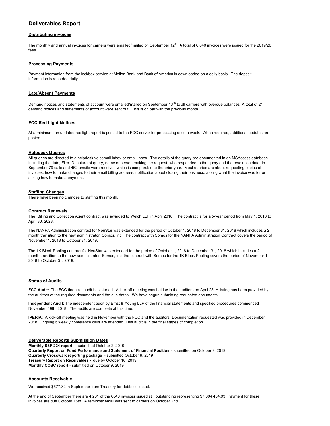# **Deliverables Report**

## **Distributing invoices**

The monthly and annual invoices for carriers were emailed/mailed on September 12<sup>th</sup>. A total of 6,040 invoices were issued for the 2019/20 fees

## **Processing Payments**

Payment information from the lockbox service at Mellon Bank and Bank of America is downloaded on a daily basis. The deposit information is recorded daily.

## **Late/Absent Payments**

Demand notices and statements of account were emailed/mailed on September 13<sup>th</sup> to all carriers with overdue balances. A total of 21 demand notices and statements of account were sent out. This is on par with the previous month.

## **FCC Red Light Notices**

At a minimum, an updated red light report is posted to the FCC server for processing once a week. When required, additional updates are posted.

## **Helpdesk Queries**

All queries are directed to a helpdesk voicemail inbox or email inbox. The details of the query are documented in an MSAccess database including the date, Filer ID, nature of query, name of person making the request, who responded to the query and the resolution date. In September 79 calls and 462 emails were received which is comparable to the prior year. Most queries are about requesting copies of invoices, how to make changes to their email billing address, notification about closing their business, asking what the invoice was for or asking how to make a payment.

## **Staffing Changes**

There have been no changes to staffing this month.

## **Contract Renewals**

The Billing and Collection Agent contract was awarded to Welch LLP in April 2018. The contract is for a 5-year period from May 1, 2018 to April 30, 2023.

The NANPA Administration contract for NeuStar was extended for the period of October 1, 2018 to December 31, 2018 which includes a 2 month transition to the new administrator, Somos, Inc. The contract with Somos for the NANPA Administration Contract covers the period of November 1, 2018 to October 31, 2019.

The 1K Block Pooling contract for NeuStar was extended for the period of October 1, 2018 to December 31, 2018 which includes a 2 month transition to the new administrator, Somos, Inc. the contract with Somos for the 1K Block Pooling covers the period of November 1, 2018 to October 31, 2019.

## **Status of Audits**

**FCC Audit:** The FCC financial audit has started. A kick off meeting was held with the auditors on April 23. A listing has been provided by the auditors of the required documents and the due dates. We have begun submitting requested documents.

**Independent Audit:** The independent audit by Ernst & Young LLP of the financial statements and specified procedures commenced November 19th, 2018. The audits are complete at this time.

**IPERIA:** A kick-off meeting was held in November with the FCC and the auditors. Documentation requested was provided in December 2018. Ongoing biweekly conference calls are attended. This audit is in the final stages of completion

**Deliverable Reports Submission Dates Monthly SSF 224 repor**t - submitted October 2, 2019. **Quarterly Report on Fund Performance and Statement of Financial Positio**n - submitted on October 9, 2019 **Quarterly Crosswalk reporting package** - submitted October 9, 2019 **Treasury Report on Receivables** - due by October 18, 2019 **Monthly COSC report** - submitted on October 9, 2019

## **Accounts Receivable**

We received \$577.82 in September from Treasury for debts collected.

At the end of September there are 4,261 of the 6040 invoices issued still outstanding representing \$7,604,454.93. Payment for these invoices are due October 15th. A reminder email was sent to carriers on October 2nd.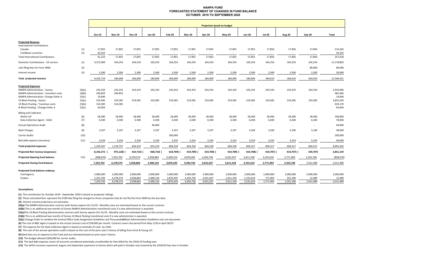### **NANPA FUND FORECASTED STATEMENT OF CHANGES IN FUND BALANCEOCTOBER 2019 TO SEPTEMBER 2020**

|                                                                                                                 |                            | <b>Projection based on budget</b> |                        |                        |                        |                          |                          |                        |                        |                        |                                    |                          |                          |                                |
|-----------------------------------------------------------------------------------------------------------------|----------------------------|-----------------------------------|------------------------|------------------------|------------------------|--------------------------|--------------------------|------------------------|------------------------|------------------------|------------------------------------|--------------------------|--------------------------|--------------------------------|
|                                                                                                                 |                            |                                   |                        |                        |                        |                          |                          |                        |                        |                        |                                    |                          |                          |                                |
|                                                                                                                 |                            | Oct-19                            | <b>Nov-19</b>          | <b>Dec-19</b>          | Jan-20                 | Feb-20                   | <b>Mar-20</b>            | Apr-20                 | <b>May-20</b>          | <b>Jun-20</b>          | <b>Jul-20</b>                      | Aug-20                   | Sep-20                   | Total                          |
| <b>Projected Revenue</b><br><b>International Contributions</b>                                                  |                            |                                   |                        |                        |                        |                          |                          |                        |                        |                        |                                    |                          |                          |                                |
| Canada<br>Caribbean countries                                                                                   | (1)<br>(1)                 | 17,855<br>43,355                  | 17,855<br>$\sim$       | 17,855<br>$\sim$       | 17,855<br>$\sim$       | 17,855<br>$\sim$         | 17,855<br>$\sim$         | 17,855<br>$\sim$       | 17,855<br>$\sim$       | 17,855<br>$\sim$       | 17,856<br>$\overline{\phantom{a}}$ | 17,856<br>$\sim$         | 17,856                   | 214,263<br>43,355              |
| <b>Total International Contributions</b>                                                                        |                            | 61,210                            | 17,855                 | 17,855                 | 17,855                 | 17,855                   | 17,855                   | 17,855                 | 17,855                 | 17,855                 | 17,856                             | 17,856                   | 17,856                   | 257,618                        |
| Domestic Contributions - US carriers                                                                            | (1)                        | 9,372,009                         | 164,254                | 164,254                | 164,254                | 164,254                  | 164,254                  | 164,254                | 164,254                | 164,254                | 164,254                            | 164,254                  | 164,254                  | 11,178,803                     |
| Late filing fees for Form 499A                                                                                  | (2)                        |                                   | $\overline{a}$         |                        |                        |                          | $\sim$                   | ٠.                     | $\sim$                 | $\overline{a}$         |                                    | $\overline{\phantom{a}}$ | 80,000                   | 80,000                         |
| Interest income                                                                                                 | (3)                        | 2,500                             | 2,500                  | 2,500                  | 2,500                  | 2,500                    | 2,500                    | 2,500                  | 2,500                  | 2,500                  | 2,500                              | 2,500                    | 2,500                    | 30,000                         |
| <b>Total projected revenue</b>                                                                                  |                            | 9,435,719                         | 184,609                | 184,609                | 184,609                | 184,609                  | 184,609                  | 184,609                | 184,609                | 184,609                | 184,610                            | 184,610                  | 264,610                  | 11,546,421                     |
| <b>Projected Expenses</b>                                                                                       |                            |                                   |                        |                        |                        |                          |                          |                        |                        |                        |                                    |                          |                          |                                |
| NANPA Administration - Somos<br>NANPA Administration - transition costs<br>NANPA Administration- Change Order A | (4)(a)<br>(4)(b)<br>(5)(c) | 243,333<br>240,833<br>19,606      | 243,333<br>240,833     | 243,333<br>$\sim$      | 243,333                | 243,333                  | 243,333<br>$\sim$        | 243,333<br>$\sim$      | 243,333<br>$\sim$      | 243,333<br>÷,          | 243,333<br>$\sim$                  | 243,333                  | 243,333<br>$\sim$        | 2,919,996<br>481,666<br>19,606 |
| 1K Block Pooling - Somos<br>1K Block Pooling - Transition costs<br>IK Block Pooling - Change Order A            | (5)(a)<br>(5)(b)<br>(5)(c) | 319,585<br>314,585<br>64,004      | 319,585<br>314,585     | 319,585                | 319,585                | 319,585                  | 319,585<br>$\sim$        | 319,585<br>$\sim$      | 319,585<br>$\sim$      | 319,585<br>$\sim$      | 319,585<br>$\sim$                  | 319,585                  | 319,585<br>٠             | 3,835,020<br>629,170<br>64,004 |
| <b>Billing and Collection</b><br>Welch LLP<br>Data Collection Agent - USAC                                      | (6)<br>(7)                 | 28,400<br>6,500                   | 28,400<br>6,500        | 28,400<br>6,500        | 28,400<br>6,500        | 28,400<br>6,500          | 28,400<br>6,500          | 28,400<br>6,500        | 28,400<br>6,500        | 28,400<br>6,500        | 28,400<br>6,500                    | 28,400<br>6,500          | 28,400<br>6,500          | 340,800<br>78,000              |
| <b>Annual Operations Audit</b>                                                                                  | (8)                        | $\sim$                            | $\sim$                 | $\sim$                 | 49,000                 | $\overline{\phantom{a}}$ | $\overline{\phantom{a}}$ | $\sim$                 | $\sim$                 | $\sim$                 | ٠                                  | $\sim$                   | $\overline{\phantom{a}}$ | 49,000                         |
| <b>Bank Charges</b>                                                                                             | (9)                        | 3,167                             | 3,167                  | 3,167                  | 3,167                  | 3,167                    | 3,167                    | 3,167                  | 3,167                  | 3,166                  | 3,166                              | 3,166                    | 3,166                    | 38,000                         |
| <b>Carrier Audits</b>                                                                                           | (10)                       | $\sim$                            |                        | $\sim$                 | $\sim$                 | 200,000                  | $\overline{\phantom{a}}$ | $\sim$                 | $\sim$                 | $\sim$                 |                                    |                          |                          | 200,000                        |
| Bad debt expense (recovery)                                                                                     | (11)                       | 3,334                             | 3,334                  | 3,334                  | 3,334                  | 3,333                    | 3,333                    | 3,333                  | 3,333                  | 3,333                  | 3,333                              | 3,333                    | 3,333                    | 40,000                         |
| <b>Total projected expenses</b>                                                                                 |                            | 1,243,347                         | 1,159,737              | 604,319                | 653,319                | 804,318                  | 604,318                  | 604,318                | 604,318                | 604,317                | 604,317                            | 604,317                  | 604,317                  | 8,695,262                      |
| Projected Net revenue (expenses)                                                                                |                            | 8,192,372                         | 975,128) (             | 419,710) (             | 468,710)               | 619,709)                 | 419,709)                 | 419,709) (             | 419,709) (             | 419,708) (             | 419,707) (                         | 419,707) (               | 339,707)                 | 2,851,159                      |
| <b>Projected Opening fund balance</b>                                                                           | (12)                       | (838, 670)                        | 7,353,702              | 6,378,574              | 5,958,864              | 5,490,154                | 4,870,445                | 4,450,736              | 4,031,027              | 3,611,318              | 3,191,610                          | 2,771,903                | 2,352,196                | (838,670                       |
| <b>Projected Closing fund balance</b>                                                                           |                            | 7,353,702                         | 6,378,574              | 5,958,864              | 5,490,154              | 4,870,445                | 4,450,736                | 4,031,027              | 3,611,318              | 3,191,610              | 2,771,903                          | 2,352,196                | 2,012,489                | 2,012,489                      |
| Projected Fund balance makeup:<br>Contingency<br>Surplus                                                        |                            | 2,000,000<br>5,353,702            | 2,000,000<br>4,378,574 | 2,000,000<br>3,958,864 | 2,000,000<br>3,490,154 | 2,000,000<br>2,870,445   | 2,000,000<br>2,450,736   | 2,000,000<br>2,031,027 | 2,000,000<br>1,611,318 | 2,000,000<br>1,191,610 | 2,000,000<br>771,903               | 2,000,000<br>352,196     | 2,000,000<br>12,489      | 2,000,000<br>12,489            |
|                                                                                                                 |                            | 7,353,702                         | 6,378,574              | 5,958,864              | 5,490,154              | 4,870,445                | 4,450,736                | 4,031,027              | 3,611,318              | 3,191,610              | 2,771,903                          | 2,352,196                | 2,012,489                | 2,012,489                      |

#### **Assumptions:**

**(1)** The contribution for October 2019 ‐ September 2020 is based on proposed billings.

**(2)** These estimated fees represent the \$100 late filing fee charged to those companies that do not file the Form 499A by the due date.

**(3)** Interest income projections are estimates.

**(4)(a)** The NANPA Administration contract with Somos expires Oct 31/19. Monthly costs are estimated based on the current contract.

**(4)(b)** This is an additional two months of Somos NANPA Administration transitional costs if a new administrator is awarded.

**(5)(a)**The 1K Block Pooling Administration contract with Somos expires Oct 31/19. Monthly costs are estimated based on the current contract.

**(5)(b)** This is an additional two months of Somos 1K Block Pooling transitional costs if a new administrator is awarded.

**(5)(c)** Change Order to combine the Central Office Code Assignment Guidelines and Thousandsâ€Block AdministraƟon Guidelines into one document

**(6)** The cost of B&C Agent is based on the actual contract cost of \$28,400 per month. Contract covers the period from May 1/18 to April 30/23

**(7)**  The expense for the Data Collection Agent is based on estimate of costs by USAC.

**(8)**  The cost of the annual operations audit is based on the cost of the prior year's history of billing from Ernst & Young LLP.

**(9)** Bank fees are an expense to the Fund and are estimated based on prior years' history.

**(10)** The budget allowed \$200,000 for carrier audits.

**(11)**  The bad debt expense covers all accounts considered potentially uncollectible for fees billed for the 2018‐19 funding year.

**(12)**  The deficit recovery represents August and September payments to Somos which will paid in October and covered by the 2019/20 fees due in October.